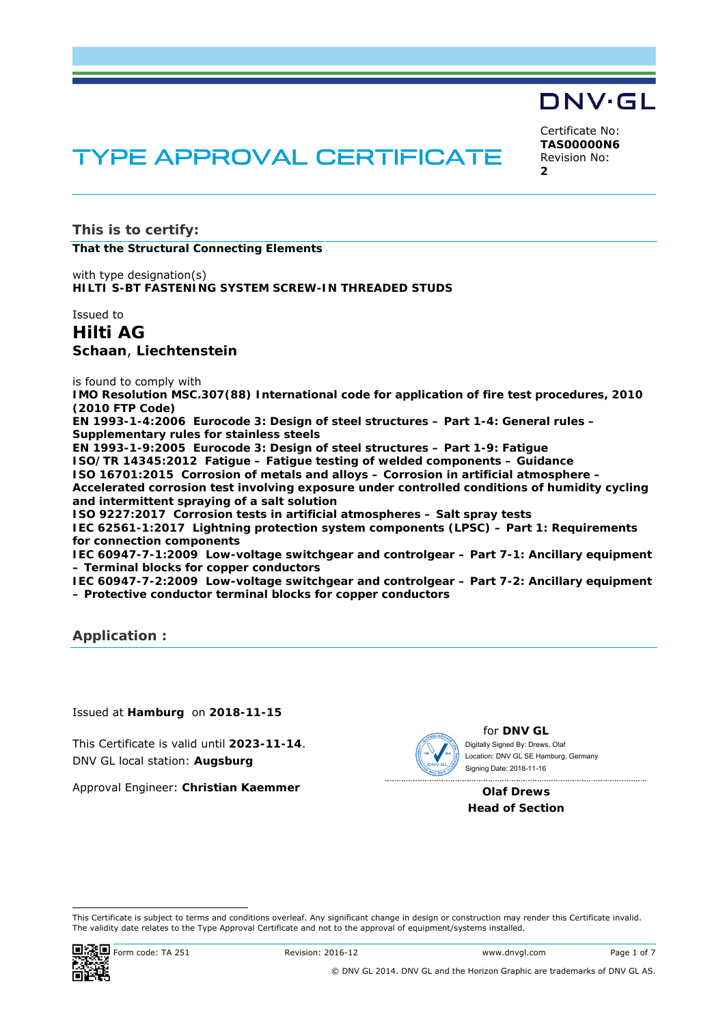## DNV·GL

Certificate No: **TAS00000N6** Revision No: **2** 

# TYPE APPROVAL CERTIFICATE

**This is to certify: That the Structural Connecting Elements**

with type designation(s) **HILTI S-BT FASTENING SYSTEM SCREW-IN THREADED STUDS**

Issued to

**Hilti AG Schaan**, **Liechtenstein** 

is found to comply with

**IMO Resolution MSC.307(88) International code for application of fire test procedures, 2010 (2010 FTP Code)** 

**EN 1993-1-4:2006 Eurocode 3: Design of steel structures – Part 1-4: General rules – Supplementary rules for stainless steels** 

**EN 1993-1-9:2005 Eurocode 3: Design of steel structures – Part 1-9: Fatigue ISO/TR 14345:2012 Fatigue – Fatigue testing of welded components – Guidance ISO 16701:2015 Corrosion of metals and alloys – Corrosion in artificial atmosphere – Accelerated corrosion test involving exposure under controlled conditions of humidity cycling and intermittent spraying of a salt solution** 

**ISO 9227:2017 Corrosion tests in artificial atmospheres – Salt spray tests** 

**IEC 62561-1:2017 Lightning protection system components (LPSC) – Part 1: Requirements for connection components** 

**IEC 60947-7-1:2009 Low-voltage switchgear and controlgear – Part 7-1: Ancillary equipment – Terminal blocks for copper conductors** 

**IEC 60947-7-2:2009 Low-voltage switchgear and controlgear – Part 7-2: Ancillary equipment – Protective conductor terminal blocks for copper conductors** 

**Application :** 

Issued at **Hamburg** on **2018-11-15**

This Certificate is valid until **2023-11-14**. DNV GL local station: **Augsburg**

Approval Engineer: **Christian Kaemmer**

for **DNV GL** Signing Date: 2018-11-16 Digitally Signed By: Drews, Olaf Location: DNV GL SE Hamburg, Germany

**Olaf Drews Head of Section** 

<sup>-</sup>This Certificate is subject to terms and conditions overleaf. Any significant change in design or construction may render this Certificate invalid. The validity date relates to the Type Approval Certificate and not to the approval of equipment/systems installed.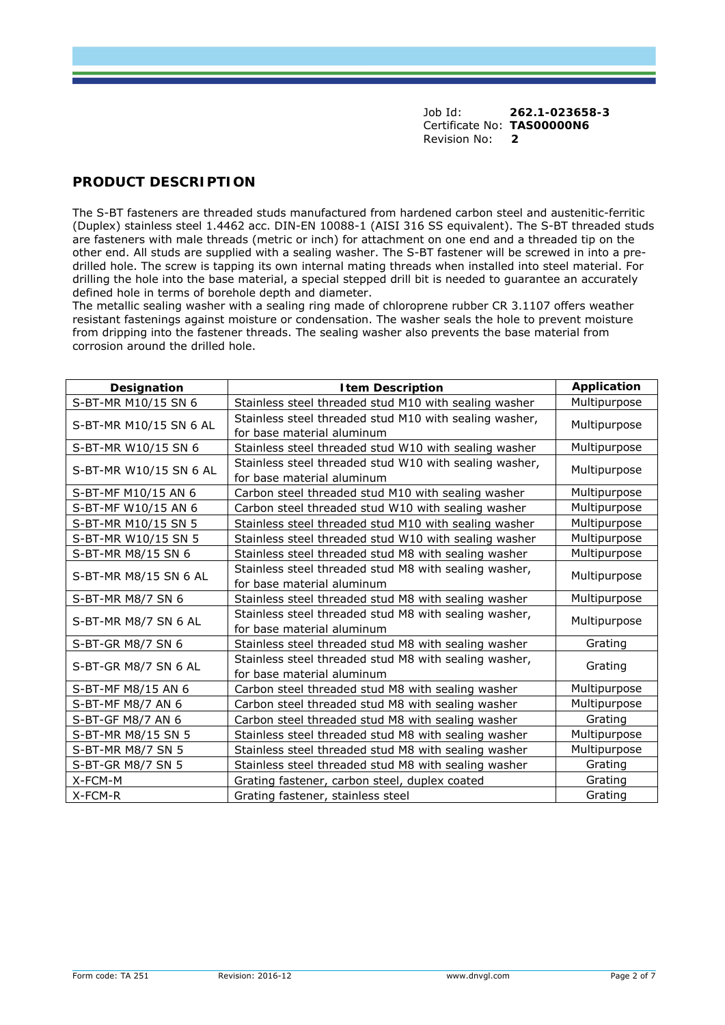## **PRODUCT DESCRIPTION**

The S-BT fasteners are threaded studs manufactured from hardened carbon steel and austenitic-ferritic (Duplex) stainless steel 1.4462 acc. DIN-EN 10088-1 (AISI 316 SS equivalent). The S-BT threaded studs are fasteners with male threads (metric or inch) for attachment on one end and a threaded tip on the other end. All studs are supplied with a sealing washer. The S-BT fastener will be screwed in into a predrilled hole. The screw is tapping its own internal mating threads when installed into steel material. For drilling the hole into the base material, a special stepped drill bit is needed to guarantee an accurately defined hole in terms of borehole depth and diameter.

The metallic sealing washer with a sealing ring made of chloroprene rubber CR 3.1107 offers weather resistant fastenings against moisture or condensation. The washer seals the hole to prevent moisture from dripping into the fastener threads. The sealing washer also prevents the base material from corrosion around the drilled hole.

| Designation            | <b>Item Description</b>                                                              | <b>Application</b> |
|------------------------|--------------------------------------------------------------------------------------|--------------------|
| S-BT-MR M10/15 SN 6    | Stainless steel threaded stud M10 with sealing washer                                | Multipurpose       |
| S-BT-MR M10/15 SN 6 AL | Stainless steel threaded stud M10 with sealing washer,<br>for base material aluminum | Multipurpose       |
| S-BT-MR W10/15 SN 6    | Stainless steel threaded stud W10 with sealing washer                                | Multipurpose       |
| S-BT-MR W10/15 SN 6 AL | Stainless steel threaded stud W10 with sealing washer,<br>for base material aluminum | Multipurpose       |
| S-BT-MF M10/15 AN 6    | Carbon steel threaded stud M10 with sealing washer                                   | Multipurpose       |
| S-BT-MF W10/15 AN 6    | Carbon steel threaded stud W10 with sealing washer                                   | Multipurpose       |
| S-BT-MR M10/15 SN 5    | Stainless steel threaded stud M10 with sealing washer                                | Multipurpose       |
| S-BT-MR W10/15 SN 5    | Stainless steel threaded stud W10 with sealing washer                                | Multipurpose       |
| S-BT-MR M8/15 SN 6     | Stainless steel threaded stud M8 with sealing washer                                 | Multipurpose       |
| S-BT-MR M8/15 SN 6 AL  | Stainless steel threaded stud M8 with sealing washer,<br>for base material aluminum  | Multipurpose       |
| S-BT-MR M8/7 SN 6      | Stainless steel threaded stud M8 with sealing washer                                 | Multipurpose       |
| S-BT-MR M8/7 SN 6 AL   | Stainless steel threaded stud M8 with sealing washer,<br>for base material aluminum  | Multipurpose       |
| S-BT-GR M8/7 SN 6      | Stainless steel threaded stud M8 with sealing washer                                 | Grating            |
| S-BT-GR M8/7 SN 6 AL   | Stainless steel threaded stud M8 with sealing washer,<br>for base material aluminum  | Grating            |
| S-BT-MF M8/15 AN 6     | Carbon steel threaded stud M8 with sealing washer                                    | Multipurpose       |
| S-BT-MF M8/7 AN 6      | Carbon steel threaded stud M8 with sealing washer                                    | Multipurpose       |
| S-BT-GF M8/7 AN 6      | Carbon steel threaded stud M8 with sealing washer                                    | Grating            |
| S-BT-MR M8/15 SN 5     | Stainless steel threaded stud M8 with sealing washer                                 | Multipurpose       |
| S-BT-MR M8/7 SN 5      | Stainless steel threaded stud M8 with sealing washer                                 | Multipurpose       |
| S-BT-GR M8/7 SN 5      | Stainless steel threaded stud M8 with sealing washer                                 | Grating            |
| X-FCM-M                | Grating fastener, carbon steel, duplex coated                                        | Grating            |
| X-FCM-R                | Grating fastener, stainless steel                                                    | Grating            |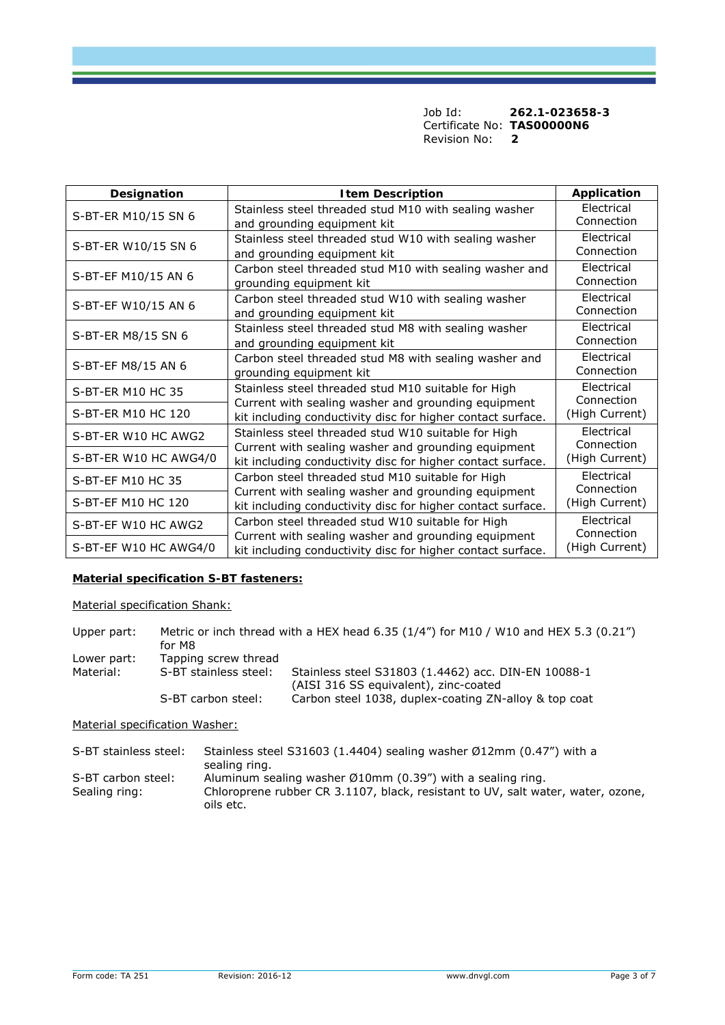| Designation           | <b>Item Description</b>                                                                                            | Application              |
|-----------------------|--------------------------------------------------------------------------------------------------------------------|--------------------------|
|                       | Stainless steel threaded stud M10 with sealing washer                                                              | Electrical               |
| S-BT-ER M10/15 SN 6   | and grounding equipment kit                                                                                        | Connection               |
| S-BT-ER W10/15 SN 6   | Stainless steel threaded stud W10 with sealing washer                                                              | Electrical               |
|                       | and grounding equipment kit                                                                                        | Connection               |
| S-BT-EF M10/15 AN 6   | Carbon steel threaded stud M10 with sealing washer and                                                             | Electrical               |
|                       | grounding equipment kit                                                                                            | Connection               |
|                       | Carbon steel threaded stud W10 with sealing washer                                                                 | Electrical               |
| S-BT-EF W10/15 AN 6   | and grounding equipment kit                                                                                        | Connection               |
| S-BT-ER M8/15 SN 6    | Stainless steel threaded stud M8 with sealing washer                                                               | Electrical               |
|                       | and grounding equipment kit                                                                                        | Connection               |
| S-BT-EF M8/15 AN 6    | Carbon steel threaded stud M8 with sealing washer and                                                              | Electrical               |
|                       | grounding equipment kit                                                                                            | Connection               |
| S-BT-ER M10 HC 35     | Stainless steel threaded stud M10 suitable for High                                                                | Electrical               |
|                       | Current with sealing washer and grounding equipment                                                                | Connection               |
| S-BT-ER M10 HC 120    | kit including conductivity disc for higher contact surface.                                                        | (High Current)           |
| S-BT-ER W10 HC AWG2   | Stainless steel threaded stud W10 suitable for High                                                                | Electrical<br>Connection |
| S-BT-ER W10 HC AWG4/0 | Current with sealing washer and grounding equipment                                                                | (High Current)           |
|                       | kit including conductivity disc for higher contact surface.                                                        | Electrical               |
| S-BT-EF M10 HC 35     | Carbon steel threaded stud M10 suitable for High                                                                   | Connection               |
| S-BT-EF M10 HC 120    | Current with sealing washer and grounding equipment<br>kit including conductivity disc for higher contact surface. | (High Current)           |
|                       | Carbon steel threaded stud W10 suitable for High                                                                   | Electrical               |
| S-BT-EF W10 HC AWG2   | Current with sealing washer and grounding equipment                                                                | Connection               |
| S-BT-EF W10 HC AWG4/0 | kit including conductivity disc for higher contact surface.                                                        | (High Current)           |

#### **Material specification S-BT fasteners:**

Material specification Shank:

Upper part: Metric or inch thread with a HEX head 6.35 (1/4") for M10 / W10 and HEX 5.3 (0.21") for M8 Lower part: Tapping screw thread<br>Material: S-BT stainless steel: Stainless steel S31803 (1.4462) acc. DIN-EN 10088-1 (AISI 316 SS equivalent), zinc-coated<br>S-BT carbon steel: Carbon steel 1038, duplex-coating ZN-Carbon steel 1038, duplex-coating ZN-alloy & top coat

Material specification Washer:

| S-BT stainless steel: | Stainless steel S31603 (1.4404) sealing washer $\emptyset$ 12mm (0.47") with a  |
|-----------------------|---------------------------------------------------------------------------------|
|                       | sealing ring.                                                                   |
| S-BT carbon steel:    | Aluminum sealing washer $\emptyset$ 10mm (0.39") with a sealing ring.           |
| Sealing ring:         | Chloroprene rubber CR 3.1107, black, resistant to UV, salt water, water, ozone, |
|                       | oils etc.                                                                       |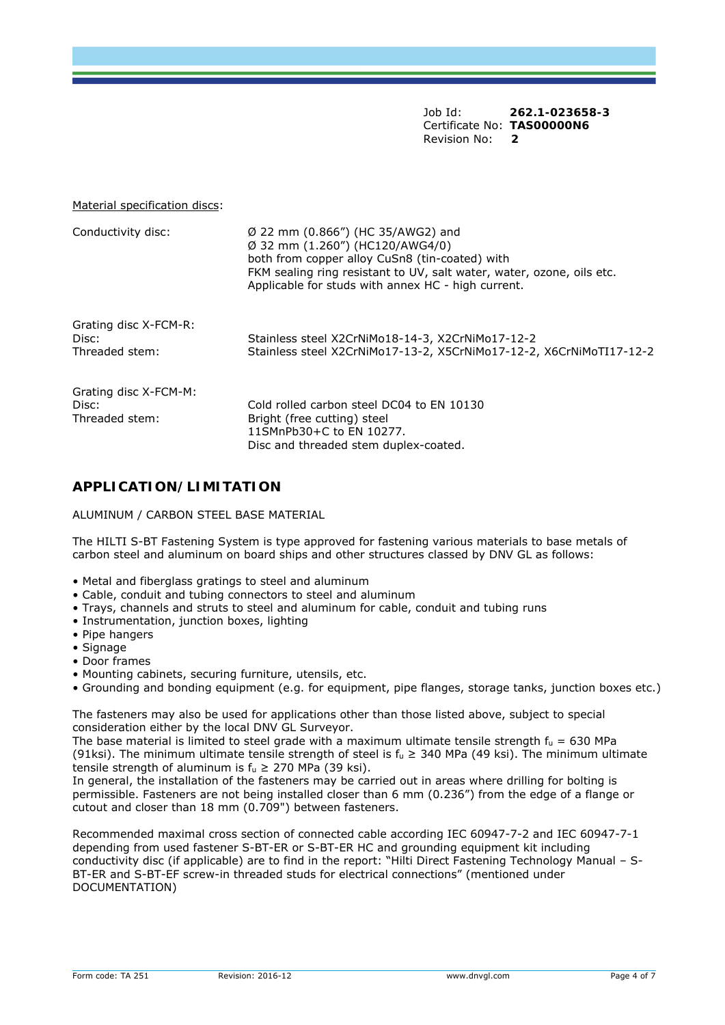#### Material specification discs:

| Conductivity disc:                               | $\varnothing$ 22 mm (0.866") (HC 35/AWG2) and<br>$\varnothing$ 32 mm (1.260") (HC120/AWG4/0)<br>both from copper alloy CuSn8 (tin-coated) with<br>FKM sealing ring resistant to UV, salt water, water, ozone, oils etc.<br>Applicable for studs with annex HC - high current. |
|--------------------------------------------------|-------------------------------------------------------------------------------------------------------------------------------------------------------------------------------------------------------------------------------------------------------------------------------|
| Grating disc X-FCM-R:<br>Disc:<br>Threaded stem: | Stainless steel X2CrNiMo18-14-3, X2CrNiMo17-12-2<br>Stainless steel X2CrNiMo17-13-2, X5CrNiMo17-12-2, X6CrNiMoTI17-12-2                                                                                                                                                       |
| Grating disc X-FCM-M:<br>Disc:<br>Threaded stem: | Cold rolled carbon steel DC04 to EN 10130<br>Bright (free cutting) steel<br>11SMnPb30+C to EN 10277.<br>Disc and threaded stem duplex-coated.                                                                                                                                 |

## **APPLICATION/LIMITATION**

ALUMINUM / CARBON STEEL BASE MATERIAL

The HILTI S-BT Fastening System is type approved for fastening various materials to base metals of carbon steel and aluminum on board ships and other structures classed by DNV GL as follows:

- Metal and fiberglass gratings to steel and aluminum
- Cable, conduit and tubing connectors to steel and aluminum
- Trays, channels and struts to steel and aluminum for cable, conduit and tubing runs
- Instrumentation, junction boxes, lighting
- Pipe hangers
- Signage
- Door frames
- Mounting cabinets, securing furniture, utensils, etc.
- Grounding and bonding equipment (e.g. for equipment, pipe flanges, storage tanks, junction boxes etc.)

The fasteners may also be used for applications other than those listed above, subject to special consideration either by the local DNV GL Surveyor.

The base material is limited to steel grade with a maximum ultimate tensile strength  $f_u = 630$  MPa (91ksi). The minimum ultimate tensile strength of steel is  $f_u \geq 340$  MPa (49 ksi). The minimum ultimate tensile strength of aluminum is  $f_u \geq 270$  MPa (39 ksi).

In general, the installation of the fasteners may be carried out in areas where drilling for bolting is permissible. Fasteners are not being installed closer than 6 mm (0.236") from the edge of a flange or cutout and closer than 18 mm (0.709") between fasteners.

Recommended maximal cross section of connected cable according IEC 60947-7-2 and IEC 60947-7-1 depending from used fastener S-BT-ER or S-BT-ER HC and grounding equipment kit including conductivity disc (if applicable) are to find in the report: "Hilti Direct Fastening Technology Manual – S-BT-ER and S-BT-EF screw-in threaded studs for electrical connections" (mentioned under DOCUMENTATION)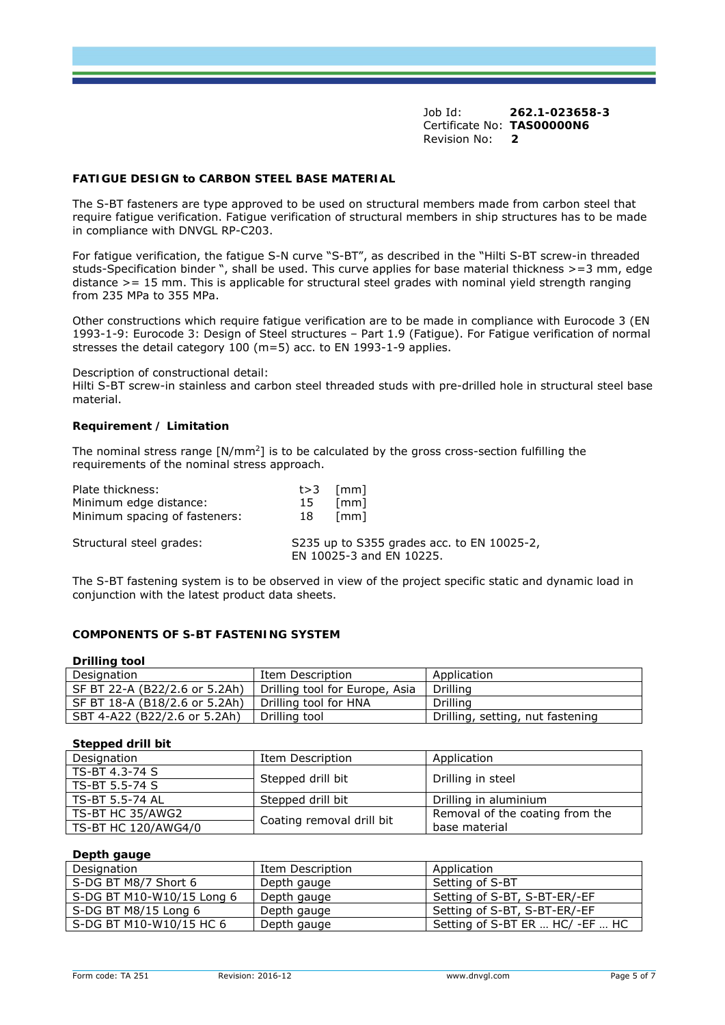#### **FATIGUE DESIGN to CARBON STEEL BASE MATERIAL**

The S-BT fasteners are type approved to be used on structural members made from carbon steel that require fatigue verification. Fatigue verification of structural members in ship structures has to be made in compliance with DNVGL RP-C203.

For fatigue verification, the fatigue S-N curve "S-BT", as described in the "Hilti S-BT screw-in threaded studs-Specification binder ", shall be used. This curve applies for base material thickness >=3 mm, edge distance >= 15 mm. This is applicable for structural steel grades with nominal yield strength ranging from 235 MPa to 355 MPa.

Other constructions which require fatigue verification are to be made in compliance with Eurocode 3 (EN 1993-1-9: Eurocode 3: Design of Steel structures – Part 1.9 (Fatigue). For Fatigue verification of normal stresses the detail category 100 (m=5) acc. to EN 1993-1-9 applies.

Description of constructional detail:

Hilti S-BT screw-in stainless and carbon steel threaded studs with pre-drilled hole in structural steel base material.

#### **Requirement / Limitation**

The nominal stress range  $[N/mm^2]$  is to be calculated by the gross cross-section fulfilling the requirements of the nominal stress approach.

| Plate thickness:              | $t > 3$ [mm]                                                           |  |
|-------------------------------|------------------------------------------------------------------------|--|
| Minimum edge distance:        | [mm]<br>15                                                             |  |
| Minimum spacing of fasteners: | [mm]<br>18                                                             |  |
| Structural steel grades:      | S235 up to S355 grades acc. to EN 10025-2,<br>EN 10025-3 and EN 10225. |  |

The S-BT fastening system is to be observed in view of the project specific static and dynamic load in conjunction with the latest product data sheets.

#### **COMPONENTS OF S-BT FASTENING SYSTEM**

#### **Drilling tool**

| _____________                 |                                |                                  |
|-------------------------------|--------------------------------|----------------------------------|
| Designation                   | Item Description               | Application                      |
| SF BT 22-A (B22/2.6 or 5.2Ah) | Drilling tool for Europe, Asia | Drilling                         |
| SF BT 18-A (B18/2.6 or 5.2Ah) | Drilling tool for HNA          | <b>Drilling</b>                  |
| SBT 4-A22 (B22/2.6 or 5.2Ah)  | Drilling tool                  | Drilling, setting, nut fastening |

#### **Stepped drill bit**

| Designation         | Item Description          | Application                     |
|---------------------|---------------------------|---------------------------------|
| TS-BT 4.3-74 S      |                           |                                 |
| l TS-BT 5.5-74 S    | Stepped drill bit         | Drilling in steel               |
| l TS-BT 5.5-74 AL   | Stepped drill bit         | Drilling in aluminium           |
| TS-BT HC 35/AWG2    |                           | Removal of the coating from the |
| TS-BT HC 120/AWG4/0 | Coating removal drill bit | base material                   |

#### **Depth gauge**

| Designation               | Item Description | Application                     |
|---------------------------|------------------|---------------------------------|
| S-DG BT M8/7 Short 6      | Depth gauge      | Setting of S-BT                 |
| S-DG BT M10-W10/15 Long 6 | Depth gauge      | Setting of S-BT, S-BT-ER/-EF    |
| S-DG BT M8/15 Long 6      | Depth gauge      | Setting of S-BT, S-BT-ER/-EF    |
| S-DG BT M10-W10/15 HC 6   | Depth gauge      | Setting of S-BT ER  HC/ -EF  HC |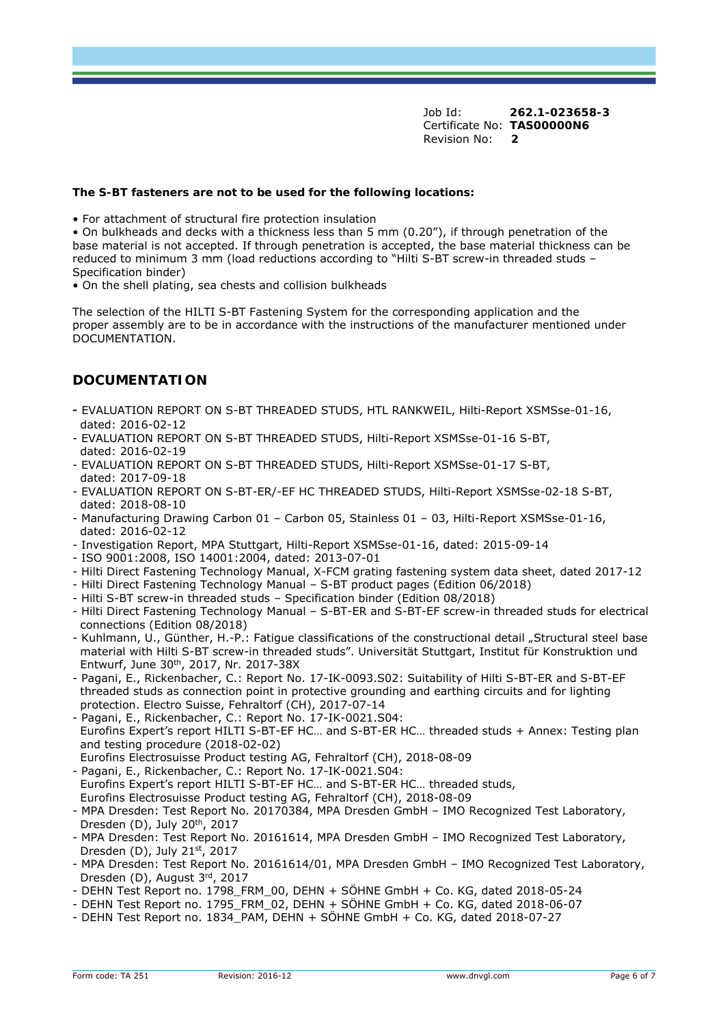#### **The S-BT fasteners are not to be used for the following locations:**

• For attachment of structural fire protection insulation

• On bulkheads and decks with a thickness less than 5 mm (0.20"), if through penetration of the base material is not accepted. If through penetration is accepted, the base material thickness can be reduced to minimum 3 mm (load reductions according to "Hilti S-BT screw-in threaded studs – Specification binder)

• On the shell plating, sea chests and collision bulkheads

The selection of the HILTI S-BT Fastening System for the corresponding application and the proper assembly are to be in accordance with the instructions of the manufacturer mentioned under DOCUMENTATION.

## **DOCUMENTATION**

- EVALUATION REPORT ON S-BT THREADED STUDS, HTL RANKWEIL, Hilti-Report XSMSse-01-16, dated: 2016-02-12
- EVALUATION REPORT ON S-BT THREADED STUDS, Hilti-Report XSMSse-01-16 S-BT, dated: 2016-02-19
- EVALUATION REPORT ON S-BT THREADED STUDS, Hilti-Report XSMSse-01-17 S-BT, dated: 2017-09-18
- EVALUATION REPORT ON S-BT-ER/-EF HC THREADED STUDS, Hilti-Report XSMSse-02-18 S-BT, dated: 2018-08-10
- Manufacturing Drawing Carbon 01 Carbon 05, Stainless 01 03, Hilti-Report XSMSse-01-16, dated: 2016-02-12
- Investigation Report, MPA Stuttgart, Hilti-Report XSMSse-01-16, dated: 2015-09-14
- ISO 9001:2008, ISO 14001:2004, dated: 2013-07-01
- Hilti Direct Fastening Technology Manual, X-FCM grating fastening system data sheet, dated 2017-12
- Hilti Direct Fastening Technology Manual S-BT product pages (Edition 06/2018)
- Hilti S-BT screw-in threaded studs Specification binder (Edition 08/2018)

- Hilti Direct Fastening Technology Manual – S-BT-ER and S-BT-EF screw-in threaded studs for electrical connections (Edition 08/2018)

- Kuhlmann, U., Günther, H.-P.: Fatigue classifications of the constructional detail "Structural steel base material with Hilti S-BT screw-in threaded studs". Universität Stuttgart, Institut für Konstruktion und Entwurf, June 30th, 2017, Nr. 2017-38X
- Pagani, E., Rickenbacher, C.: Report No. 17-IK-0093.S02: Suitability of Hilti S-BT-ER and S-BT-EF threaded studs as connection point in protective grounding and earthing circuits and for lighting protection. Electro Suisse, Fehraltorf (CH), 2017-07-14
- Pagani, E., Rickenbacher, C.: Report No. 17-IK-0021.S04: Eurofins Expert's report HILTI S-BT-EF HC… and S-BT-ER HC… threaded studs + Annex: Testing plan and testing procedure (2018-02-02) Eurofins Electrosuisse Product testing AG, Fehraltorf (CH), 2018-08-09
- Pagani, E., Rickenbacher, C.: Report No. 17-IK-0021.S04:
- Eurofins Expert's report HILTI S-BT-EF HC… and S-BT-ER HC… threaded studs, Eurofins Electrosuisse Product testing AG, Fehraltorf (CH), 2018-08-09
- MPA Dresden: Test Report No. 20170384, MPA Dresden GmbH IMO Recognized Test Laboratory, Dresden (D), July 20th, 2017
- MPA Dresden: Test Report No. 20161614, MPA Dresden GmbH IMO Recognized Test Laboratory, Dresden (D), July 21st, 2017
- MPA Dresden: Test Report No. 20161614/01, MPA Dresden GmbH IMO Recognized Test Laboratory, Dresden (D), August 3rd, 2017
- DEHN Test Report no. 1798 FRM 00, DEHN + SÖHNE GmbH + Co. KG, dated 2018-05-24
- DEHN Test Report no. 1795\_FRM\_02, DEHN + SÖHNE GmbH + Co. KG, dated 2018-06-07
- DEHN Test Report no. 1834 PAM, DEHN + SÖHNE GmbH + Co. KG, dated 2018-07-27